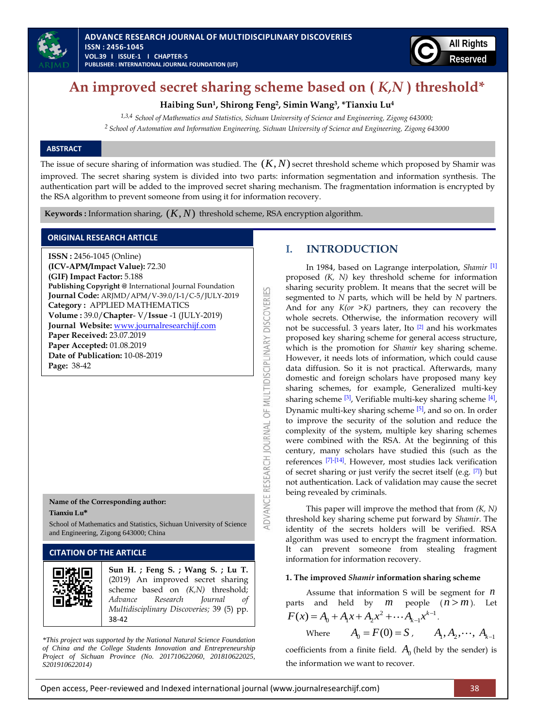



# **An improved secret sharing scheme based on (** *K,N* **) threshold\***

**Haibing Sun<sup>1</sup> , Shirong Feng<sup>2</sup> , Simin Wang<sup>3</sup> , \*Tianxiu Lu<sup>4</sup>**

*1,3,4 School of Mathematics and Statistics, Sichuan University of Science and Engineering, Zigong 643000; <sup>2</sup> School of Automation and Information Engineering, Sichuan University of Science and Engineering, Zigong 643000*

# **ABSTRACT**

The issue of secure sharing of information was studied. The  $(K, N)$  secret threshold scheme which proposed by Shamir was improved. The secret sharing system is divided into two parts: information segmentation and information synthesis. The authentication part will be added to the improved secret sharing mechanism. The fragmentation information is encrypted by the RSA algorithm to prevent someone from using it for information recovery.

**DVANCE RESEARCH JOURNAL OF MULTIDISCIPLINARY DISCOVERIES** 

**Keywords**: Information sharing,  $(K, N)$  threshold scheme, RSA encryption algorithm.

# **ORIGINAL RESEARCH ARTICLE**

**ISSN :** 2456-1045 (Online) **(ICV-APM/Impact Value):** 72.30 **(GIF) Impact Factor:** 5.188 **Publishing Copyright @** International Journal Foundation **Journal Code:** ARJMD/APM/V-39.0/I-1/C-5/JULY-2019 **Category :** APPLIED MATHEMATICS **Volume :** 39.0/**Chapter**- V/**Issue** -1 (JULY-2019) **Journal Website:** [www.journalresearchijf.com](http://www.journalresearchijf.com/) **Paper Received:** 23.07.2019 **Paper Accepted:** 01.08.2019 **Date of Publication:** 10-08-2019 **Page:** 38-42

#### **Name of the Corresponding author: Tianxiu Lu\***

School of Mathematics and Statistics, Sichuan University of Science and Engineering, Zigong 643000; China

# **CITATION OF THE ARTICLE**

| Sun H.; Feng S.; Wang S.; Lu T.<br>(2019) An improved secret sharing<br>scheme based on $(K,N)$ threshold;<br>Advance Research Journal of<br>Multidisciplinary Discoveries; 39 (5) pp.<br>38-42 |
|-------------------------------------------------------------------------------------------------------------------------------------------------------------------------------------------------|
|                                                                                                                                                                                                 |

*\*This project was supported by the National Natural Science Foundation of China and the College Students Innovation and Entrepreneurship Project of Sichuan Province (No. 201710622060, 201810622025, S201910622014)*

# **I. INTRODUCTION**

In 1984, based on Lagrange interpolation, *Shamir* [\[1\]](#page-3-0) proposed *(K, N)* key threshold scheme for information sharing security problem. It means that the secret will be segmented to *N* parts, which will be held by *N* partners. And for any *K(or >K)* partners, they can recovery the whole secrets. Otherwise, the information recovery will not be successful. 3 years later, Ito [\[2\]](#page-3-1) and his workmates proposed key sharing scheme for general access structure, which is the promotion for *Shamir* key sharing scheme. However, it needs lots of information, which could cause data diffusion. So it is not practical. Afterwards, many domestic and foreign scholars have proposed many key sharing schemes, for example, Generalized multi-key sharing scheme <sup>[\[3\]](#page-3-2)</sup>, Verifiable multi-key sharing scheme <sup>[\[4\]](#page-3-3)</sup>, Dynamic multi-key sharing scheme [\[5\]](#page-3-4), and so on. In order to improve the security of the solution and reduce the complexity of the system, multiple key sharing schemes were combined with the RSA. At the beginning of this century, many scholars have studied this (such as the references [\[7\]](#page-3-5)[-\[14\]](#page-4-0). However, most studies lack verification of secret sharing or just verify the secret itself (e.g. [\[7\]](#page-3-5)) but not authentication. Lack of validation may cause the secret being revealed by criminals.

This paper will improve the method that from *(K, N)*  threshold key sharing scheme put forward by *Shamir*. The identity of the secrets holders will be verified. RSA algorithm was used to encrypt the fragment information. It can prevent someone from stealing fragment information for information recovery.

#### **1. The improved** *Shamir* **information sharing scheme**

Assume that information S will be segment for *n* parts and held by  $m$  people  $(n > m)$ . Let parts and held by *m* people<br> $F(x) = A_0 + A_1 x + A_2 x^2 + \cdots + A_{k-1} x^{k-1}$  $\overline{a}$ and held by  $m$  people  $A_0 + A_1 x + A_2 x^2 + \cdots + A_{k-1} x^{k-1}$ .

Where 
$$
A_0 = F(0) = S
$$
,  $A_1, A_2, \cdots, A_{k-1}$ 

coefficients from a finite field.  $A_0$  (held by the sender) is the information we want to recover.

Open access, Peer-reviewed and Indexed international journal (www.journalresearchijf.com) 38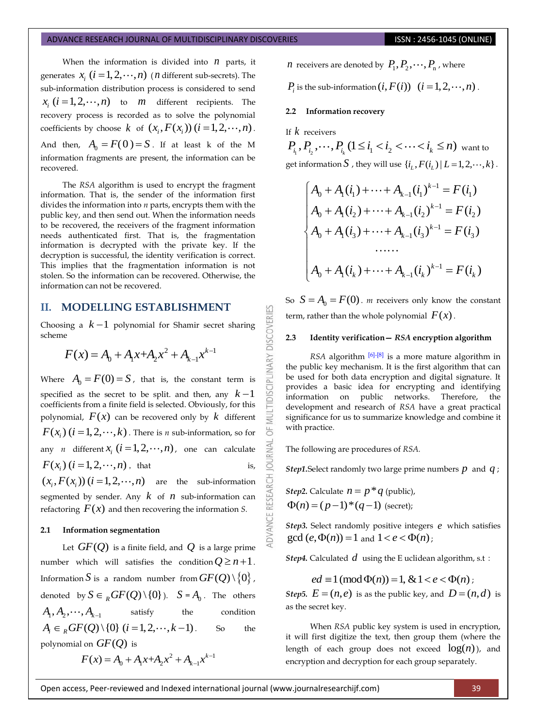#### ADVANCE RESEARCH JOURNAL OF MULTIDISCIPLINARY DISCOVERIES **ISSN : 2456-1045 (ONLINE)**

When the information is divided into  $n$  parts, it generates  $x_i$   $(i = 1, 2, \dots, n)$  (*n* different sub-secrets). The sub-information distribution process is considered to send  $x_i$   $(i = 1, 2, \dots, n)$  to *m* different recipients. The recovery process is recorded as to solve the polynomial coefficients by choose  $k$  of  $(x_i, F(x_i))$   $(i = 1, 2, \dots, n)$ . And then,  $A_0 = F(0) = S$ . If at least k of the M information fragments are present, the information can be recovered.

The *RSA* algorithm is used to encrypt the fragment information. That is, the sender of the information first divides the information into *n* parts, encrypts them with the public key, and then send out. When the information needs to be recovered, the receivers of the fragment information needs authenticated first. That is, the fragmentation information is decrypted with the private key. If the decryption is successful, the identity verification is correct. This implies that the fragmentation information is not stolen. So the information can be recovered. Otherwise, the information can not be recovered.

# **II. MODELLING ESTABLISHMENT**

Choosing a  $k-1$  polynomial for Shamir secret sharing scheme

$$
F(x) = A_0 + A_1 x + A_2 x^2 + A_{k-1} x^{k-1}
$$

Where  $A_0 = F(0) = S$ , that is, the constant term is specified as the secret to be split. and then, any  $k-1$ coefficients from a finite field is selected. Obviously, for this polynomial,  $F(x)$  can be recovered only by  $k$  different  $F(x_i)$   $(i = 1, 2, \cdots, k)$  . There is *n* sub-information, so for any *n* different  $x_i$   $(i = 1, 2, \dots, n)$ , one can calculate  $F(x_i)$  ( $i = 1, 2, \dots, n$ ), that is,  $(x_i, F(x_i))$   $(i = 1, 2, \dots, n)$  are the sub-information

segmented by sender. Any  $k$  of  $n$  sub-information can refactoring  $F(x)$  and then recovering the information *S*.

### **2.1 Information segmentation**

Let  $GF(Q)$  is a finite field, and  $Q$  is a large prime number which will satisfies the condition  $Q \ge n+1$ . Information  $S$  is a random number from  $GF(\mathcal Q)\!\setminus\!\{0\}$  , denoted by  $S \in {}_RGF(Q) \setminus \{0\}$ .  $S = A_0$ . The others  $A_1, A_2, \cdots, A_{k-1}$  satisfy the condition  $A_i \in {}_pGF(Q) \setminus \{0\} \ (i = 1, 2, \dots, k-1)$ . . So the polynomial on  $GF(Q)$  is  $2 + A \rightharpoonup^{k-1}$ 

$$
F(x) = A_0 + A_1 x + A_2 x^2 + A_{k-1} x^{k-1}
$$

 $n$  receivers are denoted by  $P_1, P_2, \cdots, P_n$  , where

 $P_i$  is the sub-information  $(i, F(i))$   $(i = 1, 2, \cdots, n)$ .

# **2.2 Information recovery**

If *k* receivers

53

**IDISCIPLINARY DISCOVERI** 

ö

**IRNAL** jon

**DVANCE RESEARCH** 

If  $k$  receivers<br>  $P_{i_1}, P_{i_2}, \cdots, P_{i_k}$   $(1 \leq i_1 < i_2 < \cdots < i_k \leq n)$  want to get information  $S$  , they will use  $\{i_L, F(i_L) | L = 1, 2, \dots, k\}$ .

$$
\begin{cases}\nA_0 + A_1(i_1) + \dots + A_{k-1}(i_1)^{k-1} = F(i_1) \\
A_0 + A_1(i_2) + \dots + A_{k-1}(i_2)^{k-1} = F(i_2) \\
A_0 + A_1(i_3) + \dots + A_{k-1}(i_3)^{k-1} = F(i_3) \\
& \dots \\
A_0 + A_1(i_k) + \dots + A_{k-1}(i_k)^{k-1} = F(i_k)\n\end{cases}
$$

So  $S = A_0 = F(0)$ . *m* receivers only know the constant term, rather than the whole polynomial  $F(x)$ .

# **2.3 Identity verification—** *RSA* **encryption algorithm**

*RSA* algorithm <sup>[\[6\]](#page-3-6)[-\[8\]](#page-4-1)</sup> is a more mature algorithm in the public key mechanism. It is the first algorithm that can be used for both data encryption and digital signature. It provides a basic idea for encrypting and identifying information on public networks. Therefore, the development and research of *RSA* have a great practical significance for us to summarize knowledge and combine it with practice.

The following are procedures of *RSA.*

*Step1.*Select randomly two large prime numbers *p* and *q* ;

*Step2*. Calculate  $n = p * q$  (public),  $\Phi(n) = (p-1)*(q-1)$  (secret);

*Step3.* Select randomly positive integers *e* which satisfies  $gcd(e, \Phi(n)) = 1$  and  $1 < e < \Phi(n)$ ;

**Step4.** Calculated  $d$  using the E uclidean algorithm, s.t:

*ed*  $\equiv$  1 (mod  $\Phi(n)$ ) = 1, & 1 < *e* <  $\Phi(n)$ ;

*Step5.*  $E = (n, e)$  is as the public key, and  $D = (n, d)$  is as the secret key.

When *RSA* public key system is used in encryption, it will first digitize the text, then group them (where the length of each group does not exceed  $log(n)$ ), and encryption and decryption for each group separately.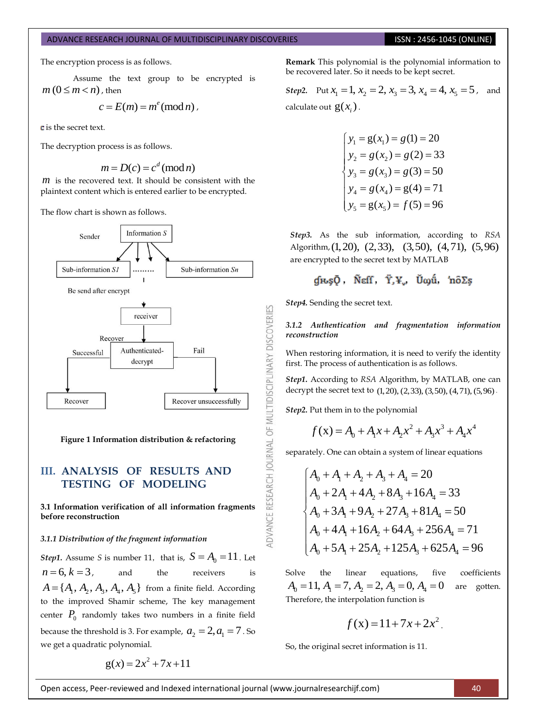#### ADVANCE RESEARCH JOURNAL OF MULTIDISCIPLINARY DISCOVERIES **ISSN : 2456-1045 (ONLINE)**

The encryption process is as follows.

Assume the text group to be encrypted is  $m (0 \le m < n)$  , then

$$
c = E(m) = m^e \pmod{n},
$$

**c** is the secret text.

The decryption process is as follows.

$$
m = D(c) = cd (mod n)
$$

*m* is the recovered text. It should be consistent with the plaintext content which is entered earlier to be encrypted.

The flow chart is shown as follows.



**Figure 1 Information distribution & refactoring**

# **III. ANALYSIS OF RESULTS AND TESTING OF MODELING**

**3.1 Information verification of all information fragments before reconstruction** 

# *3.1.1 Distribution of the fragment information*

*Step1*. Assume *S* is number 11, that is,  $S = A_0 = 11$ . Let  $n = 6, k = 3$ , , and the receivers is  $A = \{A_1, A_2, A_3, A_4, A_5\}$  from a finite field. According to the improved Shamir scheme, The key management center  $P_0$  randomly takes two numbers in a finite field because the threshold is 3. For example,  $a_2 = 2, a_1 = 7$ . So we get a quadratic polynomial.

$$
g(x) = 2x^2 + 7x + 11
$$

**Remark** This polynomial is the polynomial information to be recovered later. So it needs to be kept secret.

*Step2.* Put  $x_1 = 1$ ,  $x_2 = 2$ ,  $x_3 = 3$ ,  $x_4 = 4$ ,  $x_5 = 5$ , and calculate out  $g(x_i)$ .

$$
\begin{cases}\ny_1 = g(x_1) = g(1) = 20 \\
y_2 = g(x_2) = g(2) = 33 \\
y_3 = g(x_3) = g(3) = 50 \\
y_4 = g(x_4) = g(4) = 71 \\
y_5 = g(x_5) = f(5) = 96\n\end{cases}
$$

*Step3.* As the sub information, according to *RSA*  Algorithm, (1, 20), (2, 33), (3, 50), (4, 71), (5, 96) are encrypted to the secret text by MATLAB

$$
g_{\mu\nu\beta}\bar{Q}, \quad \text{Neff}, \quad \dot{Y}, Y_{\nu}, \quad \dot{U}\omega\dot{u}, \quad \text{in } \delta\Sigma_5
$$

*Step4.* Sending the secret text.

#### *3.1.2 Authentication and fragmentation information reconstruction*

When restoring information, it is need to verify the identity first. The process of authentication is as follows.

*Step1.* According to *RSA* Algorithm, by MATLAB, one can *Step1*. According to *RSA* Algorithm, by MATLAB, one can<br>decrypt the secret text to (1,20), (2,33), (3,50), (4,71), (5,96)

*Step2.* Put them in to the polynomial

DVANCE RESEARCH JOURNAL OF MULTIDISCIPLINARY DISCOVERIES

$$
f(x) = A_0 + A_1 x + A_2 x^2 + A_3 x^3 + A_4 x^4
$$

separately. One can obtain a system of linear equations  
\n
$$
\begin{cases}\nA_0 + A_1 + A_2 + A_3 + A_4 = 20 \\
A_0 + 2A_1 + 4A_2 + 8A_3 + 16A_4 = 33 \\
A_0 + 3A_1 + 9A_2 + 27A_3 + 81A_4 = 50 \\
A_0 + 4A_1 + 16A_2 + 64A_3 + 256A_4 = 71 \\
A_0 + 5A_1 + 25A_2 + 125A_3 + 625A_4 = 96\n\end{cases}
$$

Solve the linear equations, five coefficients  $A_0 = 11, A_1 = 7, A_2 = 2, A_3 = 0, A_4 = 0$ are gotten. Therefore, the interpolation function is

$$
f(x) = 11 + 7x + 2x^2.
$$

So, the original secret information is 11.

Open access, Peer-reviewed and Indexed international journal (www.journalresearchijf.com) 40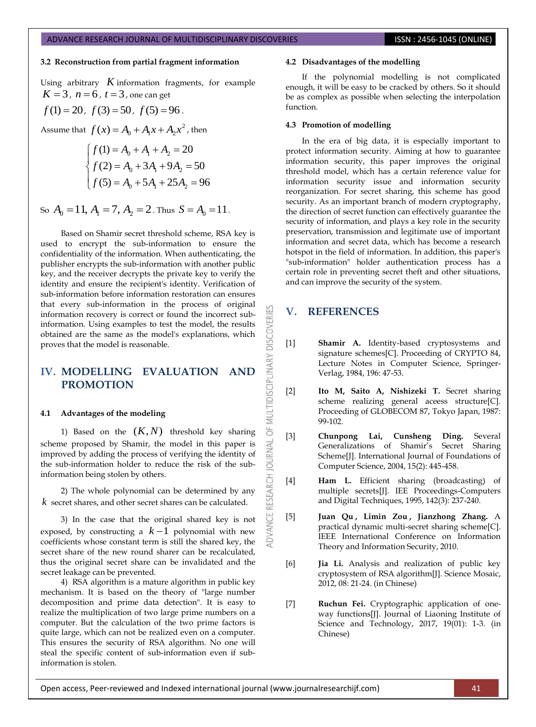# **3.2 Reconstruction from partial fragment information**

Using arbitrary  $K$  information fragments, for example  $K = 3$ ,  $n = 6$ ,  $t = 3$ , one can get

$$
f(1) = 20
$$
,  $f(3) = 50$ ,  $f(5) = 96$ .

Assume that  $f(x) = A_0 + A_1 x + A_2 x^2$ , then

$$
\begin{cases}\nf(1) = A_0 + A_1 + A_2 = 20 \\
f(2) = A_0 + 3A_1 + 9A_2 = 50 \\
f(5) = A_0 + 5A_1 + 25A_2 = 96\n\end{cases}
$$

So  $A_0 = 11$ ,  $A_1 = 7$ ,  $A_2 = 2$ . Thus  $S = A_0 = 11$ .

Based on Shamir secret threshold scheme, RSA key is used to encrypt the sub-information to ensure the confidentiality of the information. When authenticating, the publisher encrypts the sub-information with another public key, and the receiver decrypts the private key to verify the identity and ensure the recipient's identity. Verification of sub-information before information restoration can ensures that every sub-information in the process of original information recovery is correct or found the incorrect subinformation. Using examples to test the model, the results obtained are the same as the model's explanations, which proves that the model is reasonable.

# **IV. MODELLING EVALUATION AND PROMOTION**

#### **4.1 Advantages of the modeling**

1) Based on the  $(K, N)$  threshold key sharing scheme proposed by Shamir, the model in this paper is improved by adding the process of verifying the identity of the sub-information holder to reduce the risk of the subinformation being stolen by others.

2) The whole polynomial can be determined by any *k* secret shares, and other secret shares can be calculated.

3) In the case that the original shared key is not exposed, by constructing a  $k-1$  polynomial with new coefficients whose constant term is still the shared key, the secret share of the new round sharer can be recalculated, thus the original secret share can be invalidated and the secret leakage can be prevented.

4) RSA algorithm is a mature algorithm in public key mechanism. It is based on the theory of "large number decomposition and prime data detection". It is easy to realize the multiplication of two large prime numbers on a computer. But the calculation of the two prime factors is quite large, which can not be realized even on a computer. This ensures the security of RSA algorithm. No one will steal the specific content of sub-information even if subinformation is stolen.

#### **4.2 Disadvantages of the modelling**

If the polynomial modelling is not complicated enough, it will be easy to be cracked by others. So it should be as complex as possible when selecting the interpolation function.

### **4.3 Promotion of modelling**

In the era of big data, it is especially important to protect information security. Aiming at how to guarantee information security, this paper improves the original threshold model, which has a certain reference value for information security issue and information security reorganization. For secret sharing, this scheme has good security. As an important branch of modern cryptography, the direction of secret function can effectively guarantee the security of information, and plays a key role in the security preservation, transmission and legitimate use of important information and secret data, which has become a research hotspot in the field of information. In addition, this paper's "sub-information" holder authentication process has a certain role in preventing secret theft and other situations, and can improve the security of the system.

# **V. REFERENCES**

**DISCOVERI** 

MULTIDISCIPLINARY

5F

**OURNAL** 

RESEARCH

- <span id="page-3-0"></span>[1] **Shamir A.** Identity-based cryptosystems and signature schemes[C]. Proceeding of CRYPTO 84, Lecture Notes in Computer Science, Springer-Verlag, 1984, 196: 47-53.
- <span id="page-3-1"></span>[2] **Ito M, Saito A, Nishizeki T.** Secret sharing scheme realizing general aceess structure[C]. Proceeding of GLOBECOM 87, Tokyo Japan, 1987: 99-102.
- <span id="page-3-2"></span>[3] **Chunpong Lai, Cunsheng Ding.** Several Generalizations of Shamir's Secret Sharing Scheme<sup>[J]</sup>. International Journal of Foundations of Computer Science, 2004, 15(2): 445-458.
- <span id="page-3-3"></span>[4] **Ham L.** Efficient sharing (broadcasting) of multiple secrets[J]. IEE Proceedings-Computers and Digital Techniques, 1995, 142(3): 237-240.
- <span id="page-3-4"></span>[5] **[Juan Qu](https://ieeexplore.ieee.org/author/37998284400) , [Limin Zou](https://ieeexplore.ieee.org/author/38000321300) , [Jianzhong Zhang.](https://ieeexplore.ieee.org/author/38010275500)** A practical dynamic multi-secret sharing scheme[C]. IEEE International Conference on Information Theory and Information Security, 2010.
- <span id="page-3-6"></span>[6] **Jia Li.** Analysis and realization of public key cryptosystem of RSA algorithm[J]. Science Mosaic, 2012, 08: 21-24. (in Chinese)
- <span id="page-3-5"></span>[7] **Ruchun Fei.** Cryptographic application of oneway functions[J]. [Journal of Liaoning Institute of](javascript:void(0))  [Science and Technology,](javascript:void(0)) 2017, 19(01): 1-3. (in Chinese)